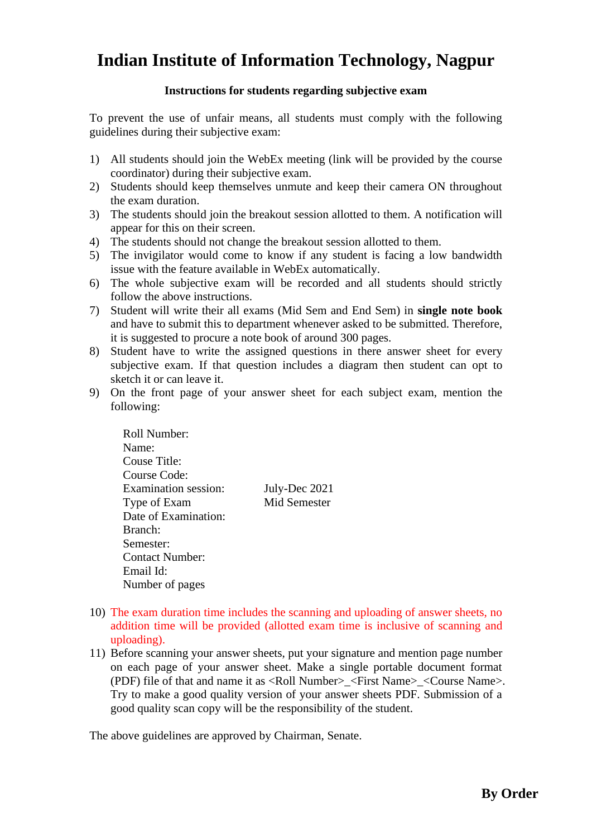## **Indian Institute of Information Technology, Nagpur**

## **Instructions for students regarding subjective exam**

To prevent the use of unfair means, all students must comply with the following guidelines during their subjective exam:

- 1) All students should join the WebEx meeting (link will be provided by the course coordinator) during their subjective exam.
- 2) Students should keep themselves unmute and keep their camera ON throughout the exam duration.
- 3) The students should join the breakout session allotted to them. A notification will appear for this on their screen.
- 4) The students should not change the breakout session allotted to them.
- 5) The invigilator would come to know if any student is facing a low bandwidth issue with the feature available in WebEx automatically.
- 6) The whole subjective exam will be recorded and all students should strictly follow the above instructions.
- 7) Student will write their all exams (Mid Sem and End Sem) in **single note book**  and have to submit this to department whenever asked to be submitted. Therefore, it is suggested to procure a note book of around 300 pages.
- 8) Student have to write the assigned questions in there answer sheet for every subjective exam. If that question includes a diagram then student can opt to sketch it or can leave it.
- 9) On the front page of your answer sheet for each subject exam, mention the following:

Roll Number: Name: Couse Title: Course Code: Examination session: July-Dec 2021 Type of Exam Mid Semester Date of Examination: Branch: Semester: Contact Number: Email Id: Number of pages

- 10) The exam duration time includes the scanning and uploading of answer sheets, no addition time will be provided (allotted exam time is inclusive of scanning and uploading).
- 11) Before scanning your answer sheets, put your signature and mention page number on each page of your answer sheet. Make a single portable document format (PDF) file of that and name it as <Roll Number> <First Name> <Course Name>. Try to make a good quality version of your answer sheets PDF. Submission of a good quality scan copy will be the responsibility of the student.

The above guidelines are approved by Chairman, Senate.